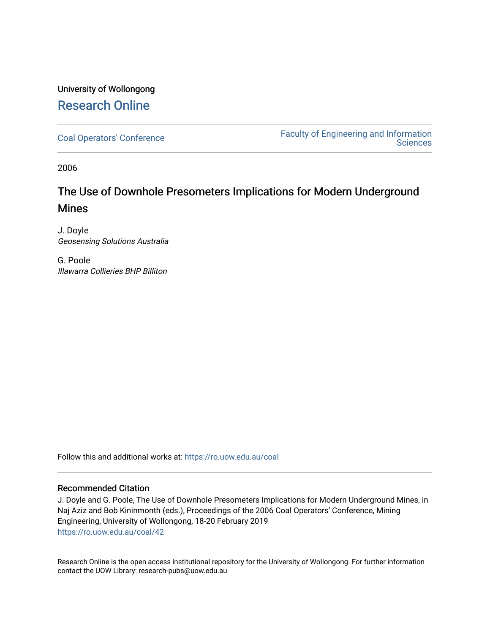### University of Wollongong [Research Online](https://ro.uow.edu.au/)

[Coal Operators' Conference](https://ro.uow.edu.au/coal) [Faculty of Engineering and Information](https://ro.uow.edu.au/eis)  **Sciences** 

2006

## The Use of Downhole Presometers Implications for Modern Underground Mines

J. Doyle Geosensing Solutions Australia

G. Poole Illawarra Collieries BHP Billiton

Follow this and additional works at: [https://ro.uow.edu.au/coal](https://ro.uow.edu.au/coal?utm_source=ro.uow.edu.au%2Fcoal%2F42&utm_medium=PDF&utm_campaign=PDFCoverPages) 

### Recommended Citation

J. Doyle and G. Poole, The Use of Downhole Presometers Implications for Modern Underground Mines, in Naj Aziz and Bob Kininmonth (eds.), Proceedings of the 2006 Coal Operators' Conference, Mining Engineering, University of Wollongong, 18-20 February 2019 [https://ro.uow.edu.au/coal/42](https://ro.uow.edu.au/coal/42?utm_source=ro.uow.edu.au%2Fcoal%2F42&utm_medium=PDF&utm_campaign=PDFCoverPages) 

Research Online is the open access institutional repository for the University of Wollongong. For further information contact the UOW Library: research-pubs@uow.edu.au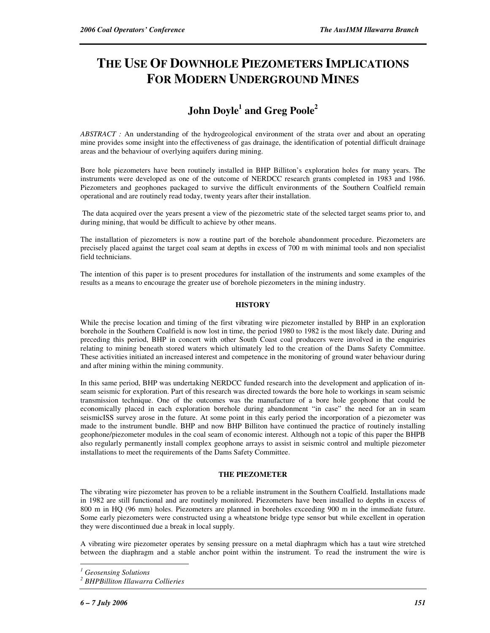# **THE USE OF DOWNHOLE PIEZOMETERS IMPLICATIONS FOR MODERN UNDERGROUND MINES**

### **John Doyle<sup>1</sup> and Greg Poole<sup>2</sup>**

*ABSTRACT :* An understanding of the hydrogeological environment of the strata over and about an operating mine provides some insight into the effectiveness of gas drainage, the identification of potential difficult drainage areas and the behaviour of overlying aquifers during mining.

Bore hole piezometers have been routinely installed in BHP Billiton's exploration holes for many years. The instruments were developed as one of the outcome of NERDCC research grants completed in 1983 and 1986. Piezometers and geophones packaged to survive the difficult environments of the Southern Coalfield remain operational and are routinely read today, twenty years after their installation.

 The data acquired over the years present a view of the piezometric state of the selected target seams prior to, and during mining, that would be difficult to achieve by other means.

The installation of piezometers is now a routine part of the borehole abandonment procedure. Piezometers are precisely placed against the target coal seam at depths in excess of 700 m with minimal tools and non specialist field technicians.

The intention of this paper is to present procedures for installation of the instruments and some examples of the results as a means to encourage the greater use of borehole piezometers in the mining industry.

#### **HISTORY**

While the precise location and timing of the first vibrating wire piezometer installed by BHP in an exploration borehole in the Southern Coalfield is now lost in time, the period 1980 to 1982 is the most likely date. During and preceding this period, BHP in concert with other South Coast coal producers were involved in the enquiries relating to mining beneath stored waters which ultimately led to the creation of the Dams Safety Committee. These activities initiated an increased interest and competence in the monitoring of ground water behaviour during and after mining within the mining community.

In this same period, BHP was undertaking NERDCC funded research into the development and application of inseam seismic for exploration. Part of this research was directed towards the bore hole to workings in seam seismic transmission technique. One of the outcomes was the manufacture of a bore hole geophone that could be economically placed in each exploration borehole during abandonment "in case" the need for an in seam seismicISS survey arose in the future. At some point in this early period the incorporation of a piezometer was made to the instrument bundle. BHP and now BHP Billiton have continued the practice of routinely installing geophone/piezometer modules in the coal seam of economic interest. Although not a topic of this paper the BHPB also regularly permanently install complex geophone arrays to assist in seismic control and multiple piezometer installations to meet the requirements of the Dams Safety Committee.

#### **THE PIEZOMETER**

The vibrating wire piezometer has proven to be a reliable instrument in the Southern Coalfield. Installations made in 1982 are still functional and are routinely monitored. Piezometers have been installed to depths in excess of 800 m in HQ (96 mm) holes. Piezometers are planned in boreholes exceeding 900 m in the immediate future. Some early piezometers were constructed using a wheatstone bridge type sensor but while excellent in operation they were discontinued due a break in local supply.

A vibrating wire piezometer operates by sensing pressure on a metal diaphragm which has a taut wire stretched between the diaphragm and a stable anchor point within the instrument. To read the instrument the wire is

 $\overline{a}$ 

*<sup>1</sup> Geosensing Solutions* 

*<sup>2</sup> BHPBilliton Illawarra Collieries*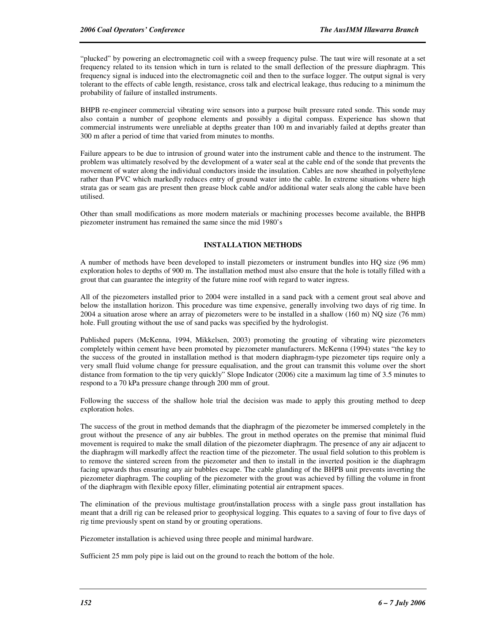"plucked" by powering an electromagnetic coil with a sweep frequency pulse. The taut wire will resonate at a set frequency related to its tension which in turn is related to the small deflection of the pressure diaphragm. This frequency signal is induced into the electromagnetic coil and then to the surface logger. The output signal is very tolerant to the effects of cable length, resistance, cross talk and electrical leakage, thus reducing to a minimum the probability of failure of installed instruments.

BHPB re-engineer commercial vibrating wire sensors into a purpose built pressure rated sonde. This sonde may also contain a number of geophone elements and possibly a digital compass. Experience has shown that commercial instruments were unreliable at depths greater than 100 m and invariably failed at depths greater than 300 m after a period of time that varied from minutes to months.

Failure appears to be due to intrusion of ground water into the instrument cable and thence to the instrument. The problem was ultimately resolved by the development of a water seal at the cable end of the sonde that prevents the movement of water along the individual conductors inside the insulation. Cables are now sheathed in polyethylene rather than PVC which markedly reduces entry of ground water into the cable. In extreme situations where high strata gas or seam gas are present then grease block cable and/or additional water seals along the cable have been utilised.

Other than small modifications as more modern materials or machining processes become available, the BHPB piezometer instrument has remained the same since the mid 1980's

#### **INSTALLATION METHODS**

A number of methods have been developed to install piezometers or instrument bundles into HQ size (96 mm) exploration holes to depths of 900 m. The installation method must also ensure that the hole is totally filled with a grout that can guarantee the integrity of the future mine roof with regard to water ingress.

All of the piezometers installed prior to 2004 were installed in a sand pack with a cement grout seal above and below the installation horizon. This procedure was time expensive, generally involving two days of rig time. In 2004 a situation arose where an array of piezometers were to be installed in a shallow (160 m) NQ size (76 mm) hole. Full grouting without the use of sand packs was specified by the hydrologist.

Published papers (McKenna, 1994, Mikkelsen, 2003) promoting the grouting of vibrating wire piezometers completely within cement have been promoted by piezometer manufacturers. McKenna (1994) states "the key to the success of the grouted in installation method is that modern diaphragm-type piezometer tips require only a very small fluid volume change for pressure equalisation, and the grout can transmit this volume over the short distance from formation to the tip very quickly" Slope Indicator (2006) cite a maximum lag time of 3.5 minutes to respond to a 70 kPa pressure change through 200 mm of grout.

Following the success of the shallow hole trial the decision was made to apply this grouting method to deep exploration holes.

The success of the grout in method demands that the diaphragm of the piezometer be immersed completely in the grout without the presence of any air bubbles. The grout in method operates on the premise that minimal fluid movement is required to make the small dilation of the piezometer diaphragm. The presence of any air adjacent to the diaphragm will markedly affect the reaction time of the piezometer. The usual field solution to this problem is to remove the sintered screen from the piezometer and then to install in the inverted position ie the diaphragm facing upwards thus ensuring any air bubbles escape. The cable glanding of the BHPB unit prevents inverting the piezometer diaphragm. The coupling of the piezometer with the grout was achieved by filling the volume in front of the diaphragm with flexible epoxy filler, eliminating potential air entrapment spaces.

The elimination of the previous multistage grout/installation process with a single pass grout installation has meant that a drill rig can be released prior to geophysical logging. This equates to a saving of four to five days of rig time previously spent on stand by or grouting operations.

Piezometer installation is achieved using three people and minimal hardware.

Sufficient 25 mm poly pipe is laid out on the ground to reach the bottom of the hole.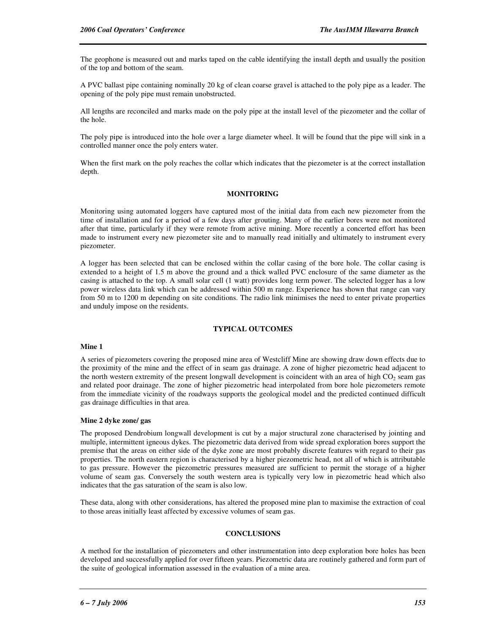The geophone is measured out and marks taped on the cable identifying the install depth and usually the position of the top and bottom of the seam.

A PVC ballast pipe containing nominally 20 kg of clean coarse gravel is attached to the poly pipe as a leader. The opening of the poly pipe must remain unobstructed.

All lengths are reconciled and marks made on the poly pipe at the install level of the piezometer and the collar of the hole.

The poly pipe is introduced into the hole over a large diameter wheel. It will be found that the pipe will sink in a controlled manner once the poly enters water.

When the first mark on the poly reaches the collar which indicates that the piezometer is at the correct installation depth.

#### **MONITORING**

Monitoring using automated loggers have captured most of the initial data from each new piezometer from the time of installation and for a period of a few days after grouting. Many of the earlier bores were not monitored after that time, particularly if they were remote from active mining. More recently a concerted effort has been made to instrument every new piezometer site and to manually read initially and ultimately to instrument every piezometer.

A logger has been selected that can be enclosed within the collar casing of the bore hole. The collar casing is extended to a height of 1.5 m above the ground and a thick walled PVC enclosure of the same diameter as the casing is attached to the top. A small solar cell (1 watt) provides long term power. The selected logger has a low power wireless data link which can be addressed within 500 m range. Experience has shown that range can vary from 50 m to 1200 m depending on site conditions. The radio link minimises the need to enter private properties and unduly impose on the residents.

#### **TYPICAL OUTCOMES**

#### **Mine 1**

A series of piezometers covering the proposed mine area of Westcliff Mine are showing draw down effects due to the proximity of the mine and the effect of in seam gas drainage. A zone of higher piezometric head adjacent to the north western extremity of the present longwall development is coincident with an area of high  $CO<sub>2</sub>$  seam gas and related poor drainage. The zone of higher piezometric head interpolated from bore hole piezometers remote from the immediate vicinity of the roadways supports the geological model and the predicted continued difficult gas drainage difficulties in that area.

#### **Mine 2 dyke zone/ gas**

The proposed Dendrobium longwall development is cut by a major structural zone characterised by jointing and multiple, intermittent igneous dykes. The piezometric data derived from wide spread exploration bores support the premise that the areas on either side of the dyke zone are most probably discrete features with regard to their gas properties. The north eastern region is characterised by a higher piezometric head, not all of which is attributable to gas pressure. However the piezometric pressures measured are sufficient to permit the storage of a higher volume of seam gas. Conversely the south western area is typically very low in piezometric head which also indicates that the gas saturation of the seam is also low.

These data, along with other considerations, has altered the proposed mine plan to maximise the extraction of coal to those areas initially least affected by excessive volumes of seam gas.

#### **CONCLUSIONS**

A method for the installation of piezometers and other instrumentation into deep exploration bore holes has been developed and successfully applied for over fifteen years. Piezometric data are routinely gathered and form part of the suite of geological information assessed in the evaluation of a mine area.